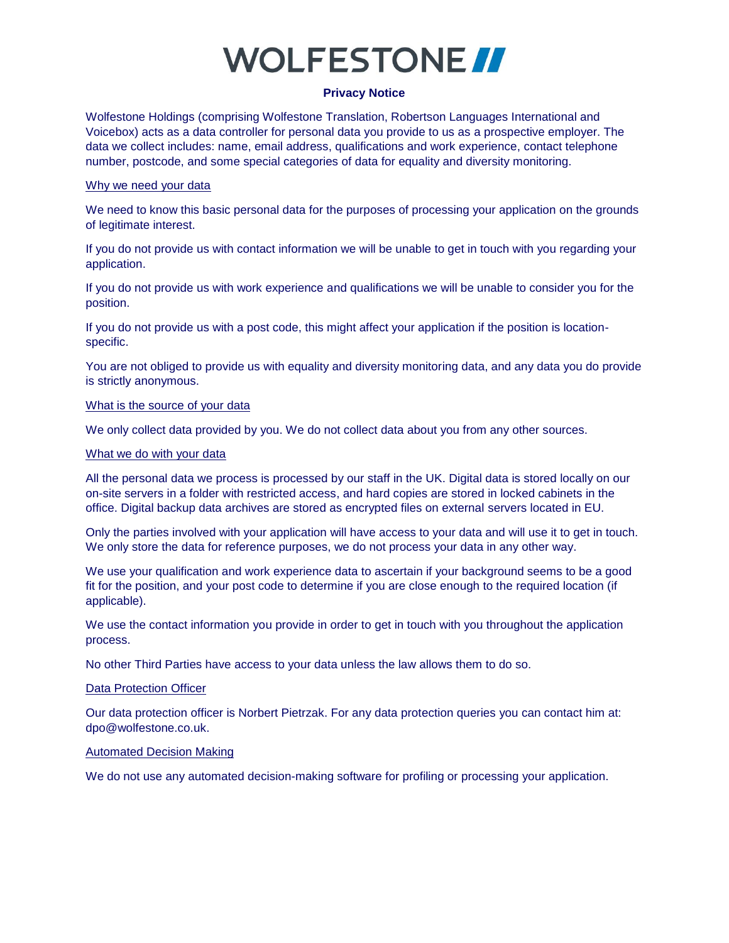# **VOLFESTONE**

### **Privacy Notice**

Wolfestone Holdings (comprising Wolfestone Translation, Robertson Languages International and Voicebox) acts as a data controller for personal data you provide to us as a prospective employer. The data we collect includes: name, email address, qualifications and work experience, contact telephone number, postcode, and some special categories of data for equality and diversity monitoring.

#### Why we need your data

We need to know this basic personal data for the purposes of processing your application on the grounds of legitimate interest.

If you do not provide us with contact information we will be unable to get in touch with you regarding your application.

If you do not provide us with work experience and qualifications we will be unable to consider you for the position.

If you do not provide us with a post code, this might affect your application if the position is locationspecific.

You are not obliged to provide us with equality and diversity monitoring data, and any data you do provide is strictly anonymous.

## What is the source of your data

We only collect data provided by you. We do not collect data about you from any other sources.

#### What we do with your data

All the personal data we process is processed by our staff in the UK. Digital data is stored locally on our on-site servers in a folder with restricted access, and hard copies are stored in locked cabinets in the office. Digital backup data archives are stored as encrypted files on external servers located in EU.

Only the parties involved with your application will have access to your data and will use it to get in touch. We only store the data for reference purposes, we do not process your data in any other way.

We use your qualification and work experience data to ascertain if your background seems to be a good fit for the position, and your post code to determine if you are close enough to the required location (if applicable).

We use the contact information you provide in order to get in touch with you throughout the application process.

No other Third Parties have access to your data unless the law allows them to do so.

## Data Protection Officer

Our data protection officer is Norbert Pietrzak. For any data protection queries you can contact him at: dpo@wolfestone.co.uk.

## Automated Decision Making

We do not use any automated decision-making software for profiling or processing your application.